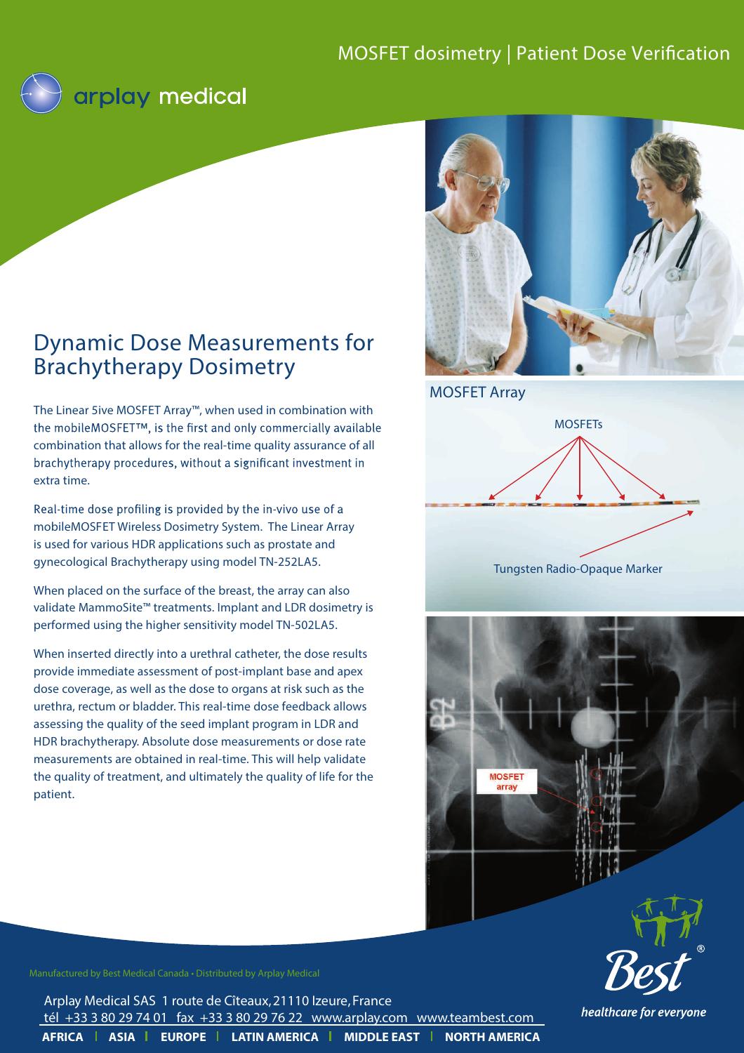# MOSFET dosimetry | Patient Dose Verification



# Dynamic Dose Measurements for Brachytherapy Dosimetry

The Linear 5ive MOSFET Array™, when used in combination with the mobileMOSFET™, is the first and only commercially available combination that allows for the real-time quality assurance of all brachytherapy procedures, without a significant investment in extra time.

Real-time dose profiling is provided by the in-vivo use of a mobileMOSFET Wireless Dosimetry System. The Linear Array is used for various HDR applications such as prostate and gynecological Brachytherapy using model TN-252LA5.

When placed on the surface of the breast, the array can also validate MammoSite™ treatments. Implant and LDR dosimetry is performed using the higher sensitivity model TN-502LA5.

When inserted directly into a urethral catheter, the dose results provide immediate assessment of post-implant base and apex dose coverage, as well as the dose to organs at risk such as the urethra, rectum or bladder. This real-time dose feedback allows assessing the quality of the seed implant program in LDR and HDR brachytherapy. Absolute dose measurements or dose rate measurements are obtained in real-time. This will help validate the quality of treatment, and ultimately the quality of life for the patient.



MOSFET Array



Tungsten Radio-Opaque Marker





healthcare for everyone

Manufactured by Best Medical Canada • Distributed by Arplay Medical

**AFRICA | ASIA | EUROPE | LATIN AMERICA | MIDDLE EAST | NORTH AMERICA** Arplay Medical SAS 1 route de Cîteaux, 21110 Izeure, France tél +33 3 80 29 74 01 fax +33 3 80 29 76 22 www.arplay.com www.teambest.com